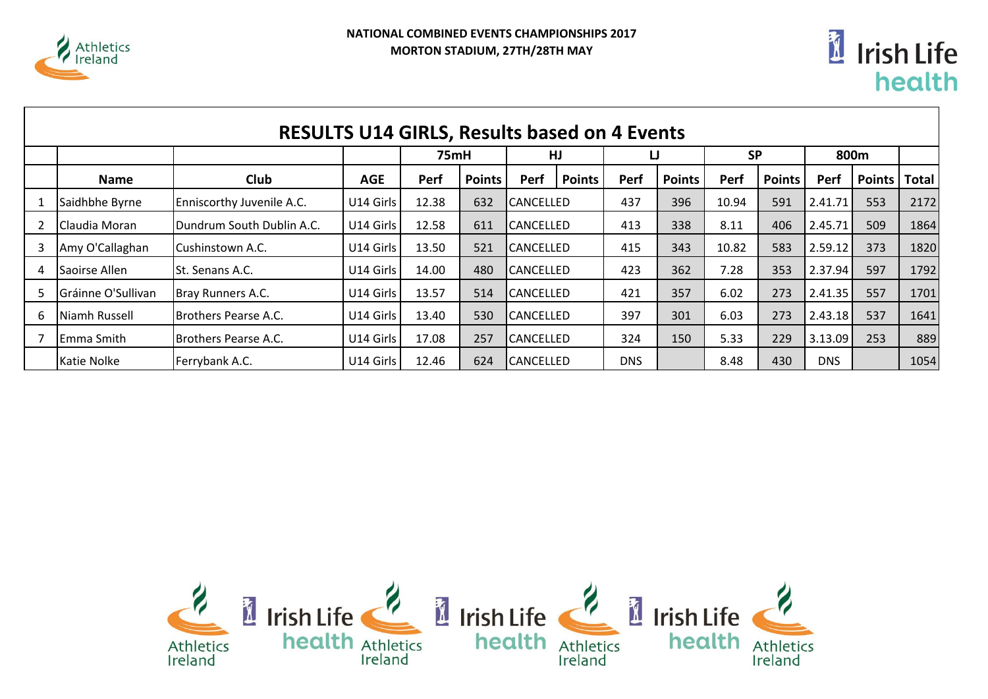



|   | <b>RESULTS U14 GIRLS, Results based on 4 Events</b> |                           |            |       |               |                  |                  |            |               |           |               |            |               |       |  |
|---|-----------------------------------------------------|---------------------------|------------|-------|---------------|------------------|------------------|------------|---------------|-----------|---------------|------------|---------------|-------|--|
|   |                                                     |                           |            | 75mH  |               | HJ               |                  | IJ         |               | <b>SP</b> |               | 800m       |               |       |  |
|   | <b>Name</b>                                         | Club                      | <b>AGE</b> | Perf  | <b>Points</b> | Perf             | <b>Points</b>    | Perf       | <b>Points</b> | Perf      | <b>Points</b> | Perf       | <b>Points</b> | Total |  |
|   | Saidhbhe Byrne                                      | Enniscorthy Juvenile A.C. | U14 Girls  | 12.38 | 632           |                  | <b>CANCELLED</b> |            | 396           | 10.94     | 591           | 2.41.71    | 553           | 2172  |  |
|   | Claudia Moran                                       | Dundrum South Dublin A.C. | U14 Girls  | 12.58 | 611           |                  | <b>CANCELLED</b> |            | 338           | 8.11      | 406           | 2.45.71    | 509           | 1864  |  |
|   | Amy O'Callaghan                                     | Cushinstown A.C.          | U14 Girls  | 13.50 | 521           |                  | <b>CANCELLED</b> |            | 343           | 10.82     | 583           | 2.59.12    | 373           | 1820  |  |
| 4 | Saoirse Allen                                       | <b>St. Senans A.C.</b>    | U14 Girls  | 14.00 | 480           | <b>CANCELLED</b> |                  | 423        | 362           | 7.28      | 353           | 2.37.94    | 597           | 1792  |  |
| 5 | Gráinne O'Sullivan                                  | Bray Runners A.C.         | U14 Girls  | 13.57 | 514           | <b>CANCELLED</b> |                  | 421        | 357           | 6.02      | 273           | 2.41.35    | 557           | 1701  |  |
| 6 | Niamh Russell                                       | Brothers Pearse A.C.      | U14 Girls  | 13.40 | 530           | <b>CANCELLED</b> |                  | 397        | 301           | 6.03      | 273           | 2.43.18    | 537           | 1641  |  |
|   | lEmma Smith                                         | Brothers Pearse A.C.      | U14 Girls  | 17.08 | 257           |                  | <b>CANCELLED</b> |            | 150           | 5.33      | 229           | 3.13.09    | 253           | 889   |  |
|   | Katie Nolke                                         | Ferrybank A.C.            | U14 Girls  | 12.46 | 624           | <b>CANCELLED</b> |                  | <b>DNS</b> |               | 8.48      | 430           | <b>DNS</b> |               | 1054  |  |

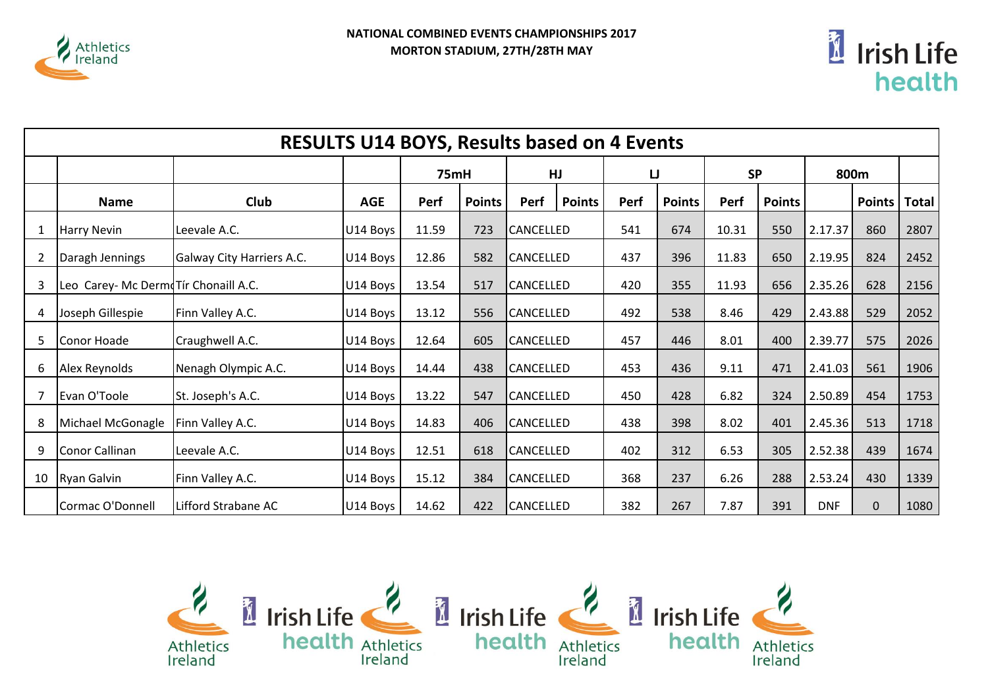



|                | <b>RESULTS U14 BOYS, Results based on 4 Events</b> |                           |            |       |               |                  |               |     |               |           |               |            |        |              |
|----------------|----------------------------------------------------|---------------------------|------------|-------|---------------|------------------|---------------|-----|---------------|-----------|---------------|------------|--------|--------------|
|                |                                                    |                           |            | 75mH  |               | HJ               |               | IJ  |               | <b>SP</b> |               | 800m       |        |              |
|                | <b>Name</b>                                        | <b>Club</b>               | <b>AGE</b> | Perf  | <b>Points</b> | Perf             | <b>Points</b> |     | <b>Points</b> | Perf      | <b>Points</b> |            | Points | <b>Total</b> |
| 1              | Harry Nevin                                        | Leevale A.C.              | U14 Boys   | 11.59 | 723           | <b>CANCELLED</b> |               | 541 | 674           | 10.31     | 550           | 2.17.37    | 860    | 2807         |
| $\overline{2}$ | Daragh Jennings                                    | Galway City Harriers A.C. | U14 Boys   | 12.86 | 582           | CANCELLED        |               | 437 | 396           | 11.83     | 650           | 2.19.95    | 824    | 2452         |
| 3              | Leo Carey- Mc DermoTír Chonaill A.C.               |                           | U14 Boys   | 13.54 | 517           |                  | CANCELLED     |     | 355           | 11.93     | 656           | 2.35.26    | 628    | 2156         |
| 4              | Joseph Gillespie                                   | Finn Valley A.C.          | U14 Boys   | 13.12 | 556           | CANCELLED        |               | 492 | 538           | 8.46      | 429           | 2.43.88    | 529    | 2052         |
| 5              | Conor Hoade                                        | Craughwell A.C.           | U14 Boys   | 12.64 | 605           | CANCELLED        |               | 457 | 446           | 8.01      | 400           | 2.39.77    | 575    | 2026         |
| 6              | Alex Reynolds                                      | Nenagh Olympic A.C.       | U14 Boys   | 14.44 | 438           | CANCELLED        |               | 453 | 436           | 9.11      | 471           | 2.41.03    | 561    | 1906         |
| 7              | Evan O'Toole                                       | St. Joseph's A.C.         | U14 Boys   | 13.22 | 547           | CANCELLED        |               | 450 | 428           | 6.82      | 324           | 2.50.89    | 454    | 1753         |
| 8              | Michael McGonagle                                  | Finn Valley A.C.          | U14 Boys   | 14.83 | 406           | CANCELLED        |               | 438 | 398           | 8.02      | 401           | 2.45.36    | 513    | 1718         |
| 9              | Conor Callinan                                     | Leevale A.C.              | U14 Boys   | 12.51 | 618           | CANCELLED        |               | 402 | 312           | 6.53      | 305           | 2.52.38    | 439    | 1674         |
| 10             | <b>Ryan Galvin</b>                                 | Finn Valley A.C.          | U14 Boys   | 15.12 | 384           | CANCELLED        |               | 368 | 237           | 6.26      | 288           | 2.53.24    | 430    | 1339         |
|                | Cormac O'Donnell                                   | Lifford Strabane AC       | U14 Boys   | 14.62 | 422           | CANCELLED        |               | 382 | 267           | 7.87      | 391           | <b>DNF</b> | 0      | 1080         |

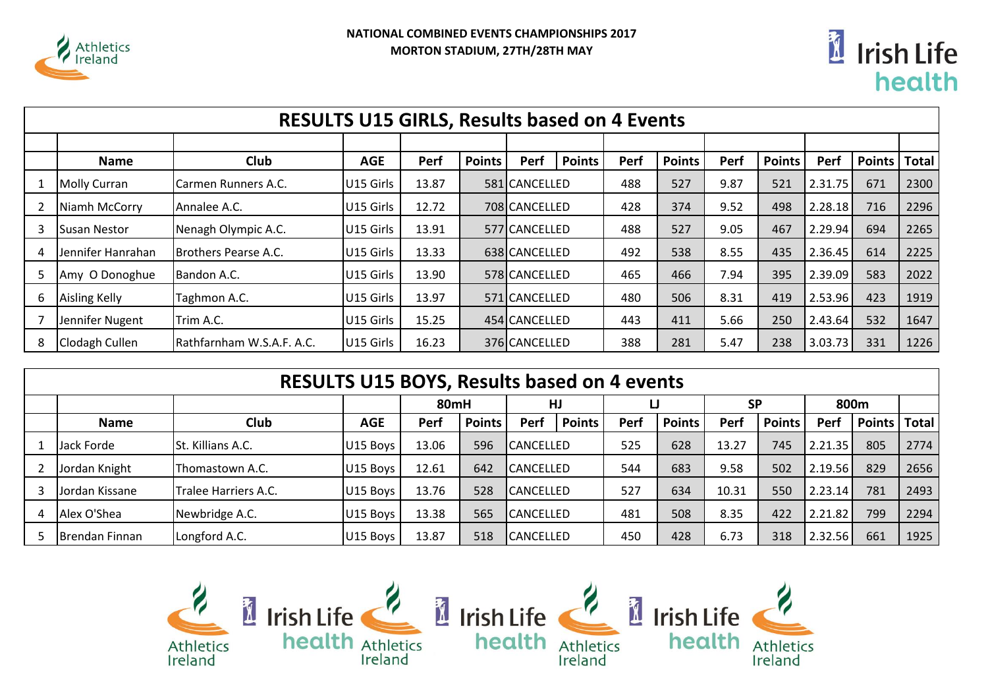



|    | <b>RESULTS U15 GIRLS, Results based on 4 Events</b> |                           |                       |       |               |               |               |      |               |      |               |         |               |              |
|----|-----------------------------------------------------|---------------------------|-----------------------|-------|---------------|---------------|---------------|------|---------------|------|---------------|---------|---------------|--------------|
|    |                                                     |                           |                       |       |               |               |               |      |               |      |               |         |               |              |
|    | <b>Name</b>                                         | Club                      | <b>AGE</b>            | Perf  | <b>Points</b> | Perf          | <b>Points</b> | Perf | <b>Points</b> | Perf | <b>Points</b> | Perf    | <b>Points</b> | <b>Total</b> |
|    | Molly Curran                                        | Carmen Runners A.C.       | U15 Girls             | 13.87 |               | 581 CANCELLED |               | 488  | 527           | 9.87 | 521           | 2.31.75 | 671           | 2300         |
|    | Niamh McCorry                                       | Annalee A.C.              | U15 Girls             | 12.72 |               |               | 708 CANCELLED |      | 374           | 9.52 | 498           | 2.28.18 | 716           | 2296         |
| З  | <b>Susan Nestor</b>                                 | Nenagh Olympic A.C.       | U <sub>15</sub> Girls | 13.91 |               |               | 577 CANCELLED |      | 527           | 9.05 | 467           | 2.29.94 | 694           | 2265         |
| 4  | Jennifer Hanrahan                                   | Brothers Pearse A.C.      | U <sub>15</sub> Girls | 13.33 |               | 638 CANCELLED |               | 492  | 538           | 8.55 | 435           | 2.36.45 | 614           | 2225         |
| .5 | Amy O Donoghue                                      | Bandon A.C.               | U <sub>15</sub> Girls | 13.90 |               | 578 CANCELLED |               | 465  | 466           | 7.94 | 395           | 2.39.09 | 583           | 2022         |
| 6  | Aisling Kelly                                       | Taghmon A.C.              | U15 Girls             | 13.97 |               | 571 CANCELLED |               | 480  | 506           | 8.31 | 419           | 2.53.96 | 423           | 1919         |
|    | Jennifer Nugent                                     | Trim A.C.                 | U15 Girls             | 15.25 |               | 454 CANCELLED |               | 443  | 411           | 5.66 | 250           | 2.43.64 | 532           | 1647         |
| 8  | Clodagh Cullen                                      | Rathfarnham W.S.A.F. A.C. | U15 Girls             | 16.23 |               | 376 CANCELLED |               | 388  | 281           | 5.47 | 238           | 3.03.73 | 331           | 1226         |

|   | <b>RESULTS U15 BOYS, Results based on 4 events</b> |                      |            |       |               |           |                  |      |               |           |               |         |               |       |  |
|---|----------------------------------------------------|----------------------|------------|-------|---------------|-----------|------------------|------|---------------|-----------|---------------|---------|---------------|-------|--|
|   |                                                    |                      |            | 80mH  |               | HJ        |                  | IJ   |               | <b>SP</b> |               | 800m    |               |       |  |
|   | <b>Name</b>                                        | Club                 | <b>AGE</b> | Perf  | <b>Points</b> | Perf      | <b>Points</b>    | Perf | <b>Points</b> | Perf      | <b>Points</b> | Perf    | <b>Points</b> | Total |  |
|   | Jack Forde                                         | St. Killians A.C.    | U15 Boys   | 13.06 | 596           |           | CANCELLED        |      | 628           | 13.27     | 745           | 2.21.35 | 805           | 2774  |  |
|   | Jordan Knight                                      | Thomastown A.C.      | U15 Boys   | 12.61 | 642           |           | <b>CANCELLED</b> |      | 683           | 9.58      | 502           | 2.19.56 | 829           | 2656  |  |
| 3 | Jordan Kissane                                     | Tralee Harriers A.C. | U15 Boys   | 13.76 | 528           |           | <b>CANCELLED</b> |      | 634           | 10.31     | 550           | 2.23.14 | 781           | 2493  |  |
| 4 | Alex O'Shea                                        | Newbridge A.C.       | U15 Boys   | 13.38 | 565           | CANCELLED |                  | 481  | 508           | 8.35      | 422           | 2.21.82 | 799           | 2294  |  |
|   | Brendan Finnan                                     | Longford A.C.        | U15 Boys   | 13.87 | 518           | CANCELLED |                  | 450  | 428           | 6.73      | 318           | 2.32.56 | 661           | 1925  |  |